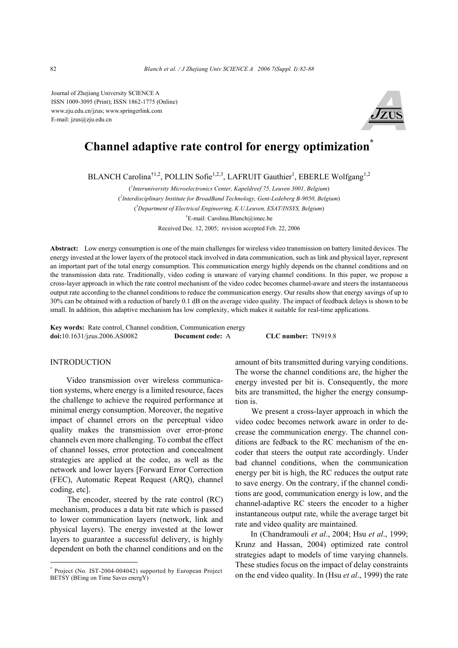Journal of Zhejiang University SCIENCE A ISSN 1009-3095 (Print); ISSN 1862-1775 (Online) www.zju.edu.cn/jzus; www.springerlink.com E-mail: jzus@zju.edu.cn



# **Channel adaptive rate control for energy optimization\***

BLANCH Carolina<sup>†1,2</sup>, POLLIN Sofie<sup>1,2,3</sup>, LAFRUIT Gauthier<sup>1</sup>, EBERLE Wolfgang<sup>1,2</sup>

( *1 Interuniversity Microelectronics Center, Kapeldreef 75, Leuven 3001, Belgium*) ( *2 Interdisciplinary Institute for BroadBand Technology, Gent-Ledeberg B-9050, Belgium*) ( *3 Department of Electrical Engineering, K.U.Leuven, ESAT/INSYS, Belgium*) † E-mail: Carolina.Blanch@imec.be Received Dec. 12, 2005; revision accepted Feb. 22, 2006

**Abstract:** Low energy consumption is one of the main challenges for wireless video transmission on battery limited devices. The energy invested at the lower layers of the protocol stack involved in data communication, such as link and physical layer, represent an important part of the total energy consumption. This communication energy highly depends on the channel conditions and on the transmission data rate. Traditionally, video coding is unaware of varying channel conditions. In this paper, we propose a cross-layer approach in which the rate control mechanism of the video codec becomes channel-aware and steers the instantaneous output rate according to the channel conditions to reduce the communication energy. Our results show that energy savings of up to 30% can be obtained with a reduction of barely 0.1 dB on the average video quality. The impact of feedback delays is shown to be small. In addition, this adaptive mechanism has low complexity, which makes it suitable for real-time applications.

**Key words:** Rate control, Channel condition, Communication energy **doi:**10.1631/jzus.2006.AS0082 **Document code:** A **CLC number:** TN919.8

## INTRODUCTION

Video transmission over wireless communication systems, where energy is a limited resource, faces the challenge to achieve the required performance at minimal energy consumption. Moreover, the negative impact of channel errors on the perceptual video quality makes the transmission over error-prone channels even more challenging. To combat the effect of channel losses, error protection and concealment strategies are applied at the codec, as well as the network and lower layers [Forward Error Correction (FEC), Automatic Repeat Request (ARQ), channel coding, etc].

The encoder, steered by the rate control (RC) mechanism, produces a data bit rate which is passed to lower communication layers (network, link and physical layers). The energy invested at the lower layers to guarantee a successful delivery, is highly dependent on both the channel conditions and on the

amount of bits transmitted during varying conditions. The worse the channel conditions are, the higher the energy invested per bit is. Consequently, the more bits are transmitted, the higher the energy consumption is.

We present a cross-layer approach in which the video codec becomes network aware in order to decrease the communication energy. The channel conditions are fedback to the RC mechanism of the encoder that steers the output rate accordingly. Under bad channel conditions, when the communication energy per bit is high, the RC reduces the output rate to save energy. On the contrary, if the channel conditions are good, communication energy is low, and the channel-adaptive RC steers the encoder to a higher instantaneous output rate, while the average target bit rate and video quality are maintained.

In (Chandramouli *et al*., 2004; Hsu *et al*., 1999; Krunz and Hassan, 2004) optimized rate control strategies adapt to models of time varying channels. These studies focus on the impact of delay constraints on the end video quality. In (Hsu *et al*., 1999) the rate \*

Project (No. IST-2004-004042) supported by European Project BETSY (BEing on Time Saves energY)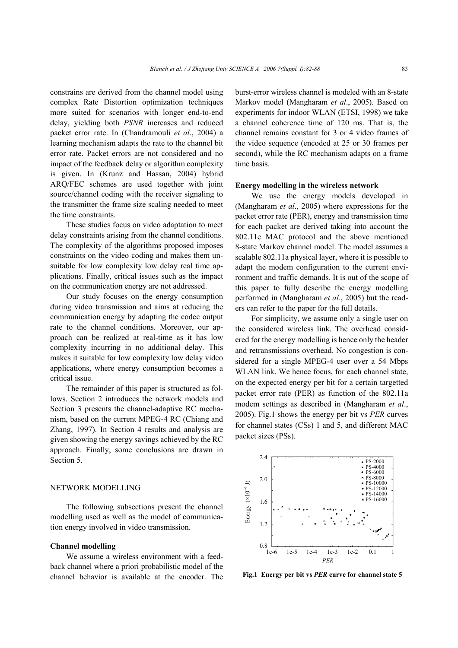constrains are derived from the channel model using complex Rate Distortion optimization techniques more suited for scenarios with longer end-to-end delay, yielding both *PSNR* increases and reduced packet error rate. In (Chandramouli *et al*., 2004) a learning mechanism adapts the rate to the channel bit error rate. Packet errors are not considered and no impact of the feedback delay or algorithm complexity is given. In (Krunz and Hassan, 2004) hybrid ARQ/FEC schemes are used together with joint source/channel coding with the receiver signaling to the transmitter the frame size scaling needed to meet the time constraints.

These studies focus on video adaptation to meet delay constraints arising from the channel conditions. The complexity of the algorithms proposed imposes constraints on the video coding and makes them unsuitable for low complexity low delay real time applications. Finally, critical issues such as the impact on the communication energy are not addressed.

Our study focuses on the energy consumption during video transmission and aims at reducing the communication energy by adapting the codec output rate to the channel conditions. Moreover, our approach can be realized at real-time as it has low complexity incurring in no additional delay. This makes it suitable for low complexity low delay video applications, where energy consumption becomes a critical issue.

The remainder of this paper is structured as follows. Section 2 introduces the network models and Section 3 presents the channel-adaptive RC mechanism, based on the current MPEG-4 RC (Chiang and Zhang, 1997). In Section 4 results and analysis are given showing the energy savings achieved by the RC approach. Finally, some conclusions are drawn in Section 5.

## NETWORK MODELLING

The following subsections present the channel modelling used as well as the model of communication energy involved in video transmission.

## **Channel modelling**

We assume a wireless environment with a feedback channel where a priori probabilistic model of the channel behavior is available at the encoder. The burst-error wireless channel is modeled with an 8-state Markov model (Mangharam *et al*., 2005). Based on experiments for indoor WLAN (ETSI, 1998) we take a channel coherence time of 120 ms. That is, the channel remains constant for 3 or 4 video frames of the video sequence (encoded at 25 or 30 frames per second), while the RC mechanism adapts on a frame time basis.

#### **Energy modelling in the wireless network**

We use the energy models developed in (Mangharam *et al*., 2005) where expressions for the packet error rate (PER), energy and transmission time for each packet are derived taking into account the 802.11e MAC protocol and the above mentioned 8-state Markov channel model. The model assumes a scalable 802.11a physical layer, where it is possible to adapt the modem configuration to the current environment and traffic demands. It is out of the scope of this paper to fully describe the energy modelling performed in (Mangharam *et al*., 2005) but the readers can refer to the paper for the full details.

For simplicity, we assume only a single user on the considered wireless link. The overhead considered for the energy modelling is hence only the header and retransmissions overhead. No congestion is considered for a single MPEG-4 user over a 54 Mbps WLAN link. We hence focus, for each channel state, on the expected energy per bit for a certain targetted packet error rate (PER) as function of the 802.11a modem settings as described in (Mangharam *et al*., 2005). Fig.1 shows the energy per bit vs *PER* curves for channel states (CSs) 1 and 5, and different MAC packet sizes (PSs).



**Fig.1 Energy per bit vs** *PER* **curve for channel state 5**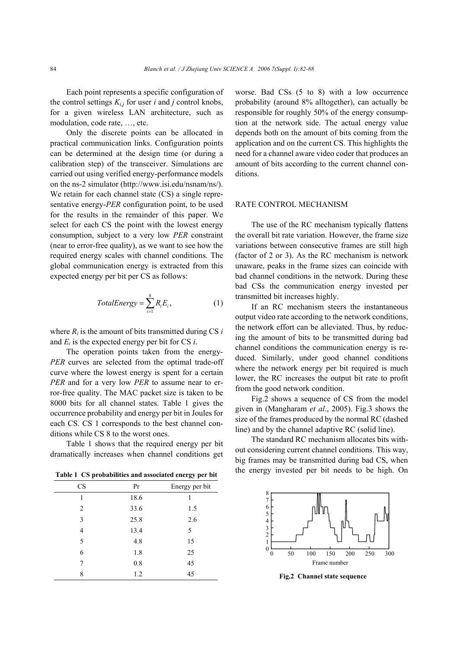Each point represents a specific configuration of the control settings  $K_{i,j}$  for user *i* and *j* control knobs, for a given wireless LAN architecture, such as modulation, code rate, …, etc.

Only the discrete points can be allocated in practical communication links. Configuration points can be determined at the design time (or during a calibration step) of the transceiver. Simulations are carried out using verified energy-performance models on the ns-2 simulator (http://www.isi.edu/nsnam/ns/). We retain for each channel state (CS) a single representative energy-*PER* configuration point, to be used for the results in the remainder of this paper. We select for each CS the point with the lowest energy consumption, subject to a very low *PER* constraint (near to error-free quality), as we want to see how the required energy scales with channel conditions. The global communication energy is extracted from this expected energy per bit per CS as follows:

$$
TotalEnergy = \sum_{i=1}^{8} R_i E_i, \qquad (1)
$$

where  $R_i$  is the amount of bits transmitted during CS  $i$ and  $E_i$  is the expected energy per bit for CS  $i$ .

The operation points taken from the energy-*PER* curves are selected from the optimal trade-off curve where the lowest energy is spent for a certain *PER* and for a very low *PER* to assume near to error-free quality. The MAC packet size is taken to be 8000 bits for all channel states. Table 1 gives the occurrence probability and energy per bit in Joules for each CS. CS 1 corresponds to the best channel conditions while CS 8 to the worst ones.

Table 1 shows that the required energy per bit dramatically increases when channel conditions get

| <b>CS</b>      | Pr   | Energy per bit |
|----------------|------|----------------|
| 1              | 18.6 |                |
| $\overline{2}$ | 33.6 | 1.5            |
| 3              | 25.8 | 2.6            |
| 4              | 13.4 | 5              |
| 5              | 4.8  | 15             |
| 6              | 1.8  | 25             |
| 7              | 0.8  | 45             |
| 8              | 1.2  | 45             |

worse. Bad CSs (5 to 8) with a low occurrence probability (around 8% alltogether), can actually be responsible for roughly 50% of the energy consumption at the network side. The actual energy value depends both on the amount of bits coming from the application and on the current CS. This highlights the need for a channel aware video coder that produces an amount of bits according to the current channel conditions.

## RATE CONTROL MECHANISM

The use of the RC mechanism typically flattens the overall bit rate variation. However, the frame size variations between consecutive frames are still high (factor of 2 or 3). As the RC mechanism is network unaware, peaks in the frame sizes can coincide with bad channel conditions in the network. During these bad CSs the communication energy invested per transmitted bit increases highly.

If an RC mechanism steers the instantaneous output video rate according to the network conditions, the network effort can be alleviated. Thus, by reducing the amount of bits to be transmitted during bad channel conditions the communication energy is reduced. Similarly, under good channel conditions where the network energy per bit required is much lower, the RC increases the output bit rate to profit from the good network condition.

Fig.2 shows a sequence of CS from the model given in (Mangharam *et al*., 2005). Fig.3 shows the size of the frames produced by the normal RC (dashed line) and by the channel adaptive RC (solid line).

The standard RC mechanism allocates bits without considering current channel conditions. This way, big frames may be transmitted during bad CS, when Table 1 CS probabilities and associated energy per bit the energy invested per bit needs to be high. On



8 1.2 45 **Fig.2 Channel state sequence**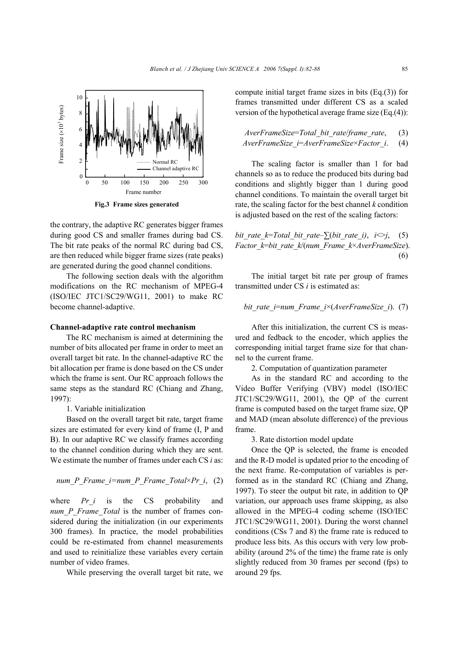

**Fig.3 Frame sizes generated** 

the contrary, the adaptive RC generates bigger frames during good CS and smaller frames during bad CS. The bit rate peaks of the normal RC during bad CS, are then reduced while bigger frame sizes (rate peaks) are generated during the good channel conditions.

The following section deals with the algorithm modifications on the RC mechanism of MPEG-4 (ISO/IEC JTC1/SC29/WG11, 2001) to make RC become channel-adaptive.

#### **Channel-adaptive rate control mechanism**

The RC mechanism is aimed at determining the number of bits allocated per frame in order to meet an overall target bit rate. In the channel-adaptive RC the bit allocation per frame is done based on the CS under which the frame is sent. Our RC approach follows the same steps as the standard RC (Chiang and Zhang, 1997):

# 1. Variable initialization

Based on the overall target bit rate, target frame sizes are estimated for every kind of frame (I, P and B). In our adaptive RC we classify frames according to the channel condition during which they are sent. We estimate the number of frames under each CS *i* as:

# *num\_P\_Frame\_i=num\_P\_Frame\_Total*×*Pr\_i*,(2)

where *Pr i* is the CS probability and *num\_P\_Frame\_Total* is the number of frames considered during the initialization (in our experiments 300 frames). In practice, the model probabilities could be re-estimated from channel measurements and used to reinitialize these variables every certain number of video frames.

While preserving the overall target bit rate, we

compute initial target frame sizes in bits (Eq.(3)) for frames transmitted under different CS as a scaled version of the hypothetical average frame size (Eq.(4)):

*AverFrameSize*=*Total\_bit\_rate*/*frame\_rate*,(3) *AverFrameSize\_i*=*AverFrameSize*×*Factor\_i*.(4)

The scaling factor is smaller than 1 for bad channels so as to reduce the produced bits during bad conditions and slightly bigger than 1 during good channel conditions. To maintain the overall target bit rate, the scaling factor for the best channel *k* condition is adjusted based on the rest of the scaling factors:

*bit* rate  $k=Total$  *bit* rate– $\sum$ (*bit* rate *i*), *i* $\leq$ *j*, (5) *Factor\_k*=*bit\_rate\_k*/(*num\_Frame\_k*×*AverFrameSize*). (6)

The initial target bit rate per group of frames transmitted under CS *i* is estimated as:

# *bit\_rate\_i*=*num\_Frame\_i*×(*AverFrameSize\_i*).(7)

After this initialization, the current CS is measured and fedback to the encoder, which applies the corresponding initial target frame size for that channel to the current frame.

2. Computation of quantization parameter

As in the standard RC and according to the Video Buffer Verifying (VBV) model (ISO/IEC JTC1/SC29/WG11, 2001), the QP of the current frame is computed based on the target frame size, QP and MAD (mean absolute difference) of the previous frame.

3. Rate distortion model update

Once the QP is selected, the frame is encoded and the R-D model is updated prior to the encoding of the next frame. Re-computation of variables is performed as in the standard RC (Chiang and Zhang, 1997). To steer the output bit rate, in addition to QP variation, our approach uses frame skipping, as also allowed in the MPEG-4 coding scheme (ISO/IEC JTC1/SC29/WG11, 2001). During the worst channel conditions (CSs 7 and 8) the frame rate is reduced to produce less bits. As this occurs with very low probability (around 2% of the time) the frame rate is only slightly reduced from 30 frames per second (fps) to around 29 fps.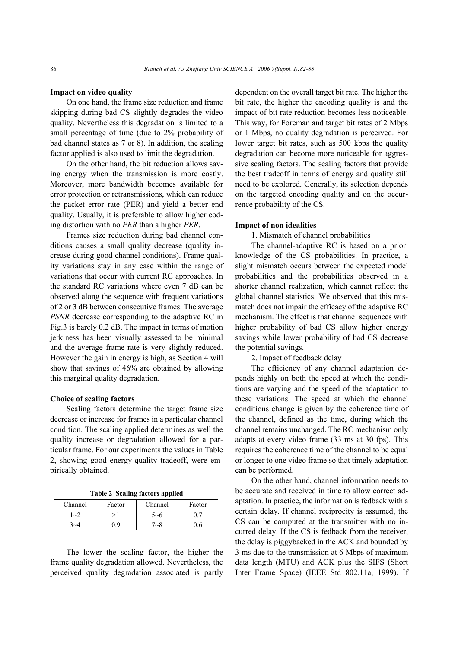#### **Impact on video quality**

On one hand, the frame size reduction and frame skipping during bad CS slightly degrades the video quality. Nevertheless this degradation is limited to a small percentage of time (due to 2% probability of bad channel states as 7 or 8). In addition, the scaling factor applied is also used to limit the degradation.

On the other hand, the bit reduction allows saving energy when the transmission is more costly. Moreover, more bandwidth becomes available for error protection or retransmissions, which can reduce the packet error rate (PER) and yield a better end quality. Usually, it is preferable to allow higher coding distortion with no *PER* than a higher *PER*.

Frames size reduction during bad channel conditions causes a small quality decrease (quality increase during good channel conditions). Frame quality variations stay in any case within the range of variations that occur with current RC approaches. In the standard RC variations where even 7 dB can be observed along the sequence with frequent variations of 2 or 3 dB between consecutive frames. The average *PSNR* decrease corresponding to the adaptive RC in Fig.3 is barely 0.2 dB. The impact in terms of motion jerkiness has been visually assessed to be minimal and the average frame rate is very slightly reduced. However the gain in energy is high, as Section 4 will show that savings of 46% are obtained by allowing this marginal quality degradation.

# **Choice of scaling factors**

Scaling factors determine the target frame size decrease or increase for frames in a particular channel condition. The scaling applied determines as well the quality increase or degradation allowed for a particular frame. For our experiments the values in Table 2, showing good energy-quality tradeoff, were empirically obtained.

| Table 2 Scaling factors applied |  |
|---------------------------------|--|
|---------------------------------|--|

| $     -$<br>---<br> |        |         |        |
|---------------------|--------|---------|--------|
| Channel             | Factor | Channel | Factor |
| $1 - 2$             |        | 5~6     |        |
| $3 - 4$             | 0 (    | $7 - 8$ |        |
|                     |        |         |        |

The lower the scaling factor, the higher the frame quality degradation allowed. Nevertheless, the perceived quality degradation associated is partly dependent on the overall target bit rate. The higher the bit rate, the higher the encoding quality is and the impact of bit rate reduction becomes less noticeable. This way, for Foreman and target bit rates of 2 Mbps or 1 Mbps, no quality degradation is perceived. For lower target bit rates, such as 500 kbps the quality degradation can become more noticeable for aggressive scaling factors. The scaling factors that provide the best tradeoff in terms of energy and quality still need to be explored. Generally, its selection depends on the targeted encoding quality and on the occurrence probability of the CS.

## **Impact of non idealities**

1. Mismatch of channel probabilities

The channel-adaptive RC is based on a priori knowledge of the CS probabilities. In practice, a slight mismatch occurs between the expected model probabilities and the probabilities observed in a shorter channel realization, which cannot reflect the global channel statistics. We observed that this mismatch does not impair the efficacy of the adaptive RC mechanism. The effect is that channel sequences with higher probability of bad CS allow higher energy savings while lower probability of bad CS decrease the potential savings.

2. Impact of feedback delay

The efficiency of any channel adaptation depends highly on both the speed at which the conditions are varying and the speed of the adaptation to these variations. The speed at which the channel conditions change is given by the coherence time of the channel, defined as the time, during which the channel remains unchanged. The RC mechanism only adapts at every video frame (33 ms at 30 fps). This requires the coherence time of the channel to be equal or longer to one video frame so that timely adaptation can be performed.

On the other hand, channel information needs to be accurate and received in time to allow correct adaptation. In practice, the information is fedback with a certain delay. If channel reciprocity is assumed, the CS can be computed at the transmitter with no incurred delay. If the CS is fedback from the receiver, the delay is piggybacked in the ACK and bounded by 3 ms due to the transmission at 6 Mbps of maximum data length (MTU) and ACK plus the SIFS (Short Inter Frame Space) (IEEE Std 802.11a, 1999). If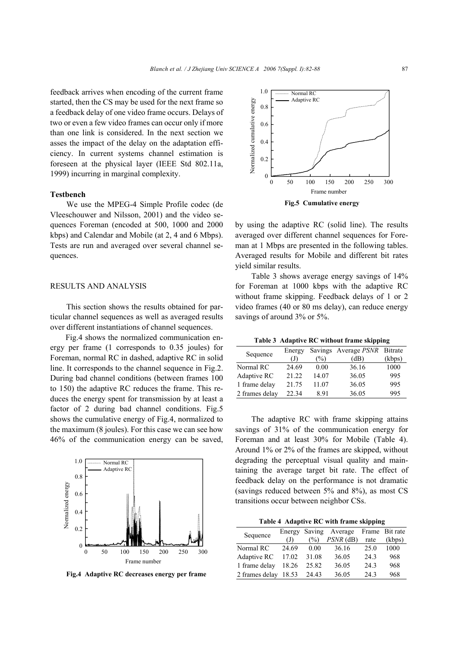feedback arrives when encoding of the current frame started, then the CS may be used for the next frame so a feedback delay of one video frame occurs. Delays of two or even a few video frames can occur only if more than one link is considered. In the next section we asses the impact of the delay on the adaptation efficiency. In current systems channel estimation is foreseen at the physical layer (IEEE Std 802.11a, 1999) incurring in marginal complexity.

#### **Testbench**

We use the MPEG-4 Simple Profile codec (de Vleeschouwer and Nilsson, 2001) and the video sequences Foreman (encoded at 500, 1000 and 2000 kbps) and Calendar and Mobile (at 2, 4 and 6 Mbps). Tests are run and averaged over several channel sequences.

# RESULTS AND ANALYSIS

This section shows the results obtained for particular channel sequences as well as averaged results over different instantiations of channel sequences.

Fig.4 shows the normalized communication energy per frame (1 corresponds to 0.35 joules) for Foreman, normal RC in dashed, adaptive RC in solid line. It corresponds to the channel sequence in Fig.2. During bad channel conditions (between frames 100 to 150) the adaptive RC reduces the frame. This reduces the energy spent for transmission by at least a factor of 2 during bad channel conditions. Fig.5 shows the cumulative energy of Fig.4, normalized to the maximum (8 joules). For this case we can see how 46% of the communication energy can be saved,



**Fig.4 Adaptive RC decreases energy per frame** 



by using the adaptive RC (solid line). The results averaged over different channel sequences for Foreman at 1 Mbps are presented in the following tables. Averaged results for Mobile and different bit rates yield similar results.

Table 3 shows average energy savings of 14% for Foreman at 1000 kbps with the adaptive RC without frame skipping. Feedback delays of 1 or 2 video frames (40 or 80 ms delay), can reduce energy savings of around 3% or 5%.

**Table 3 Adaptive RC without frame skipping** 

| Sequence       | Energy |               | Savings Average <i>PSNR</i> | <b>B</b> itrate |
|----------------|--------|---------------|-----------------------------|-----------------|
|                | (J)    | $\frac{1}{2}$ | (dB)                        | (kbps)          |
| Normal RC      | 24.69  | 0.00          | 36.16                       | 1000            |
| Adaptive RC    | 21.22  | 14.07         | 36.05                       | 995             |
| 1 frame delay  | 21.75  | 11.07         | 36.05                       | 995             |
| 2 frames delay | 22.34  | 891           | 36.05                       | 995             |

The adaptive RC with frame skipping attains savings of 31% of the communication energy for Foreman and at least 30% for Mobile (Table 4). Around 1% or 2% of the frames are skipped, without degrading the perceptual visual quality and maintaining the average target bit rate. The effect of feedback delay on the performance is not dramatic (savings reduced between 5% and 8%), as most CS transitions occur between neighbor CSs.

**Table 4 Adaptive RC with frame skipping** 

| Sequence             |       |        | Energy Saving Average Frame Bit rate |      |        |
|----------------------|-------|--------|--------------------------------------|------|--------|
|                      | (J)   | $(\%)$ | $PSNR$ (dB)                          | rate | (kbps) |
| Normal RC            | 24.69 | 0.00   | 36.16                                | 25.0 | 1000   |
| Adaptive RC          | 17.02 | 31.08  | 36.05                                | 24.3 | 968    |
| 1 frame delay        | 18.26 | 25.82  | 36.05                                | 24.3 | 968    |
| 2 frames delay 18.53 |       | 24.43  | 36.05                                | 24.3 | 968    |